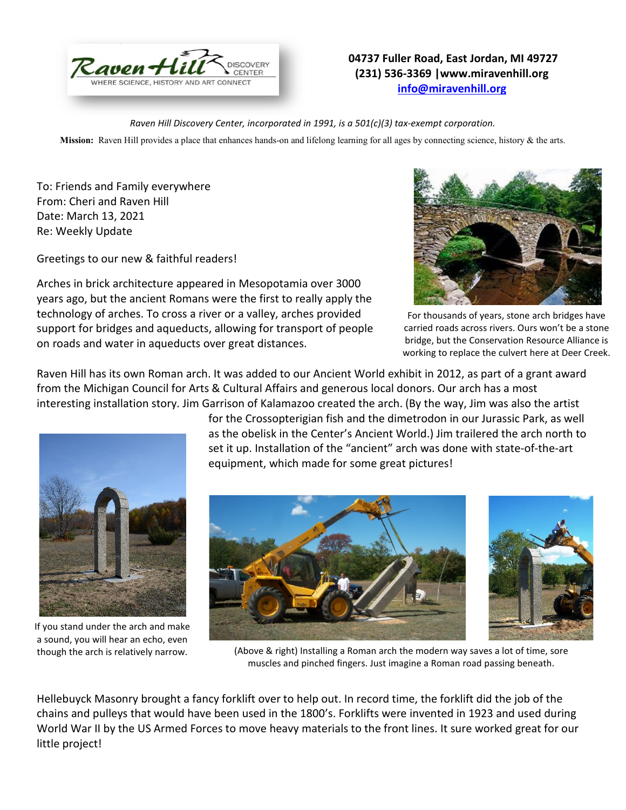

## **04737 Fuller Road, East Jordan, MI 49727 (231) 536-3369 |www.miravenhill.org [info@miravenhill.org](mailto:info@miravenhill.org)**

*Raven Hill Discovery Center, incorporated in 1991, is a 501(c)(3) tax-exempt corporation.*

**Mission:** Raven Hill provides a place that enhances hands-on and lifelong learning for all ages by connecting science, history & the arts.

To: Friends and Family everywhere From: Cheri and Raven Hill Date: March 13, 2021 Re: Weekly Update

If you stand under the arch and make a sound, you will hear an echo, even though the arch is relatively narrow.

Greetings to our new & faithful readers!

Arches in brick architecture appeared in Mesopotamia over 3000 years ago, but the ancient Romans were the first to really apply the technology of arches. To cross a river or a valley, arches provided support for bridges and aqueducts, allowing for transport of people on roads and water in aqueducts over great distances.



For thousands of years, stone arch bridges have carried roads across rivers. Ours won't be a stone bridge, but the Conservation Resource Alliance is working to replace the culvert here at Deer Creek.

Raven Hill has its own Roman arch. It was added to our Ancient World exhibit in 2012, as part of a grant award from the Michigan Council for Arts & Cultural Affairs and generous local donors. Our arch has a most interesting installation story. Jim Garrison of Kalamazoo created the arch. (By the way, Jim was also the artist

> for the Crossopterigian fish and the dimetrodon in our Jurassic Park, as well as the obelisk in the Center's Ancient World.) Jim trailered the arch north to set it up. Installation of the "ancient" arch was done with state-of-the-art equipment, which made for some great pictures!



(Above & right) Installing a Roman arch the modern way saves a lot of time, sore muscles and pinched fingers. Just imagine a Roman road passing beneath.

Hellebuyck Masonry brought a fancy forklift over to help out. In record time, the forklift did the job of the chains and pulleys that would have been used in the 1800's. Forklifts were invented in 1923 and used during World War II by the US Armed Forces to move heavy materials to the front lines. It sure worked great for our little project!